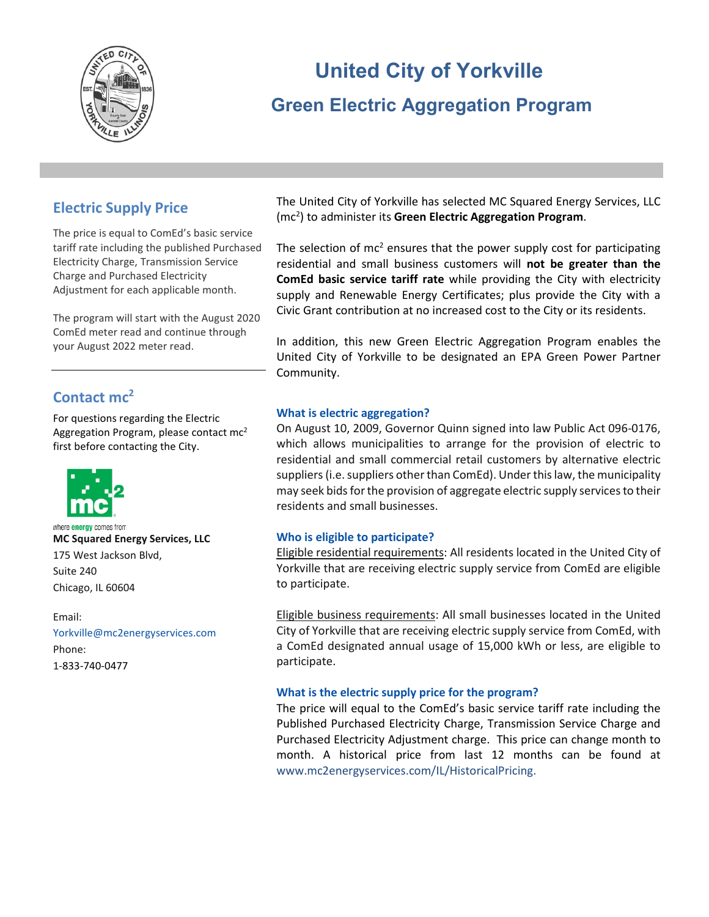

# **United City of Yorkville Green Electric Aggregation Program**

# **Electric Supply Price**

The price is equal to ComEd's basic service tariff rate including the published Purchased Electricity Charge, Transmission Service Charge and Purchased Electricity Adjustment for each applicable month.

The program will start with the August 2020 ComEd meter read and continue through your August 2022 meter read.

# **Contact mc2**

For questions regarding the Electric Aggregation Program, please contact mc<sup>2</sup> first before contacting the City.



where **energy** comes from **MC Squared Energy Services, LLC** 175 West Jackson Blvd, Suite 240 Chicago, IL 60604

#### Email:

[Yorkville@mc2energyservices.com](mailto:Yorkville@mc2energyservices.com) Phone: 1-833-740-0477

The United City of Yorkville has selected MC Squared Energy Services, LLC (mc2 ) to administer its **Green Electric Aggregation Program**.

The selection of  $mc^2$  ensures that the power supply cost for participating residential and small business customers will **not be greater than the ComEd basic service tariff rate** while providing the City with electricity supply and Renewable Energy Certificates; plus provide the City with a Civic Grant contribution at no increased cost to the City or its residents.

In addition, this new Green Electric Aggregation Program enables the United City of Yorkville to be designated an EPA Green Power Partner Community.

## **What is electric aggregation?**

On August 10, 2009, Governor Quinn signed into law Public Act 096-0176, which allows municipalities to arrange for the provision of electric to residential and small commercial retail customers by alternative electric suppliers (i.e. suppliers other than ComEd). Under this law, the municipality may seek bids for the provision of aggregate electric supply services to their residents and small businesses.

#### **Who is eligible to participate?**

Eligible residential requirements: All residents located in the United City of Yorkville that are receiving electric supply service from ComEd are eligible to participate.

Eligible business requirements: All small businesses located in the United City of Yorkville that are receiving electric supply service from ComEd, with a ComEd designated annual usage of 15,000 kWh or less, are eligible to participate.

#### **What is the electric supply price for the program?**

The price will equal to the ComEd's basic service tariff rate including the Published Purchased Electricity Charge, Transmission Service Charge and Purchased Electricity Adjustment charge. This price can change month to month. A historical price from last 12 months can be found at [www.mc2energyservices.com/IL/HistoricalPricing.](http://www.mc2energyservices.com/IL/HistoricalPricing)